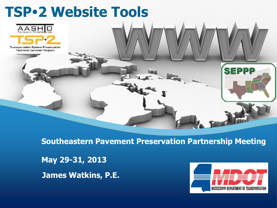

**Southeastern Pavement Preservation Partnership Meeting**

**May 29-31, 2013**

**James Watkins, P.E.**

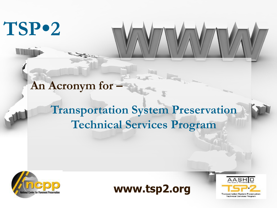# **TSP2**

#### **An Acronym for –**

#### **Transportation System Preservation Technical Services Program**





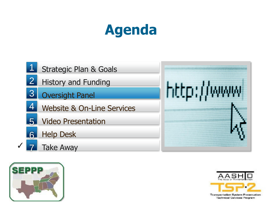# **Agenda**







Transportation System Preservation Technical Services Program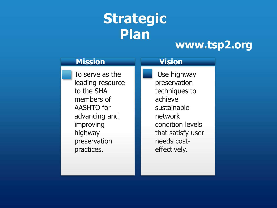# **Strategic Plan**

#### **www.tsp2.org**

| <b>Mission</b>                                                                                                                                              | <b>Vision</b>                                                                                                                                             |
|-------------------------------------------------------------------------------------------------------------------------------------------------------------|-----------------------------------------------------------------------------------------------------------------------------------------------------------|
| To serve as the<br>leading resource<br>to the SHA<br>members of<br><b>AASHTO</b> for<br>advancing and<br>improving<br>highway<br>preservation<br>practices. | Use highway<br>preservation<br>techniques to<br>achieve<br>sustainable<br>network<br>condition levels<br>that satisfy user<br>needs cost-<br>effectively. |
|                                                                                                                                                             |                                                                                                                                                           |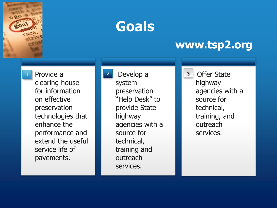

## **Goals**

#### **www.tsp2.org**

1 Provide a 2 Develop a 1 3 Provide a clearing house for information on effective preservation technologies that enhance the performance and extend the useful service life of pavements.

system preservation "Help Desk" to provide State highway agencies with a source for technical, training and outreach services.

**Offer State** highway agencies with a source for technical, training, and outreach services.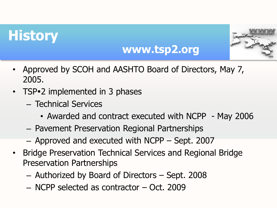## **History**



#### **www.tsp2.org**

- Approved by SCOH and AASHTO Board of Directors, May 7, 2005.
- TSP•2 implemented in 3 phases
	- Technical Services
		- Awarded and contract executed with NCPP May 2006
	- Pavement Preservation Regional Partnerships
	- Approved and executed with NCPP Sept. 2007
- Bridge Preservation Technical Services and Regional Bridge Preservation Partnerships
	- Authorized by Board of Directors Sept. 2008
	- NCPP selected as contractor Oct. 2009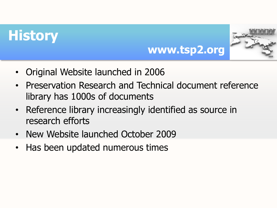## **History**



- Original Website launched in 2006
- Preservation Research and Technical document reference library has 1000s of documents
- Reference library increasingly identified as source in research efforts
- New Website launched October 2009
- Has been updated numerous times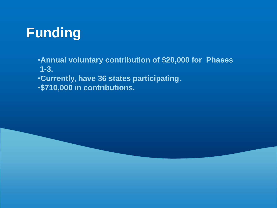## **Funding**

•**Annual voluntary contribution of \$20,000 for Phases 1-3.**

•**Currently, have 36 states participating.**

•**\$710,000 in contributions.**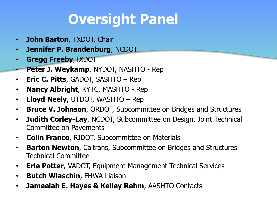# **Oversight Panel**

- **John Barton**, TXDOT, Chair
- **Jennifer P. Brandenburg**, NCDOT
- **Gregg Freeby**,TXDOT
- **Peter J. Weykamp**, NYDOT, NASHTO Rep
- **Eric C. Pitts**, GADOT, SASHTO Rep
- **Nancy Albright**, KYTC, MASHTO Rep
- **Lloyd Neely**, UTDOT, WASHTO Rep
- **Bruce V. Johnson**, ORDOT, Subcommittee on Bridges and Structures
- **Judith Corley-Lay**, NCDOT, Subcommittee on Design, Joint Technical Committee on Pavements
- **Colin Franco**, RIDOT, Subcommittee on Materials
- **Barton Newton**, Caltrans, Subcommittee on Bridges and Structures Technical Committee
- **Erle Potter**, VADOT, Equipment Management Technical Services
- **Butch Wlaschin**, FHWA Liaison
- **Jameelah E. Hayes & Kelley Rehm**, AASHTO Contacts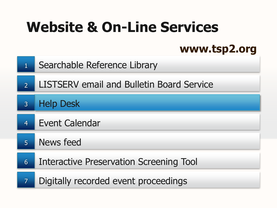# **Website & On-Line Services**

#### **www.tsp2.org**

- Searchable Reference Library 1
- LISTSERV email and Bulletin Board Service 2
- Help Desk 3
- Event Calendar 4
- News feed 5
- Interactive Preservation Screening Tool 6
- Digitally recorded event proceedings 7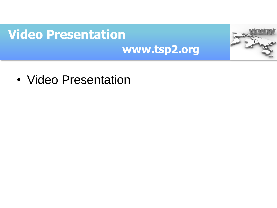### **Video Presentation www.tsp2.org**

• Video Presentation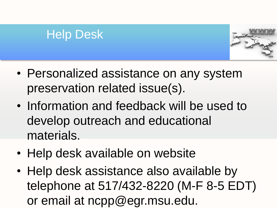#### Help Desk



- Personalized assistance on any system preservation related issue(s).
- Information and feedback will be used to develop outreach and educational materials.
- Help desk available on website
- Help desk assistance also available by telephone at 517/432-8220 (M-F 8-5 EDT) or email at ncpp@egr.msu.edu.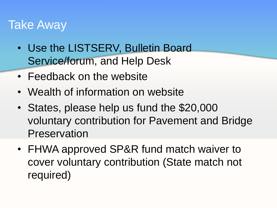#### Take Away

- Use the LISTSERV, Bulletin Board Service/forum, and Help Desk
- Feedback on the website
- Wealth of information on website
- States, please help us fund the \$20,000 voluntary contribution for Pavement and Bridge Preservation
- FHWA approved SP&R fund match waiver to cover voluntary contribution (State match not required)